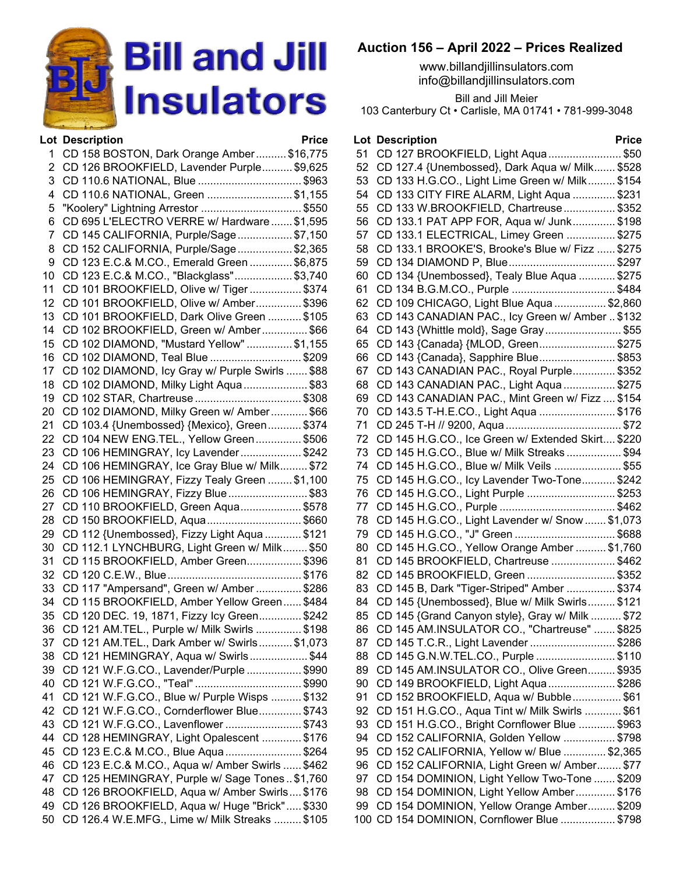

|    | <b>Lot Description</b>                          | <b>Price</b> |
|----|-------------------------------------------------|--------------|
| 1  | CD 158 BOSTON, Dark Orange Amber \$16,775       |              |
| 2  | CD 126 BROOKFIELD, Lavender Purple \$9,625      |              |
| 3  | CD 110.6 NATIONAL, Blue \$963                   |              |
| 4  | CD 110.6 NATIONAL, Green \$1,155                |              |
| 5  | "Koolery" Lightning Arrestor \$550              |              |
| 6  | CD 695 L'ELECTRO VERRE w/ Hardware \$1,595      |              |
| 7  | CD 145 CALIFORNIA, Purple/Sage\$7,150           |              |
|    | CD 152 CALIFORNIA, Purple/Sage\$2,365           |              |
| 8  |                                                 |              |
| 9  | CD 123 E.C.& M.CO., Emerald Green  \$6,875      |              |
| 10 | CD 123 E.C.& M.CO., "Blackglass" \$3,740        |              |
| 11 | CD 101 BROOKFIELD, Olive w/ Tiger \$374         |              |
| 12 | CD 101 BROOKFIELD, Olive w/ Amber \$396         |              |
| 13 | CD 101 BROOKFIELD, Dark Olive Green  \$105      |              |
| 14 | CD 102 BROOKFIELD, Green w/ Amber \$66          |              |
| 15 | CD 102 DIAMOND, "Mustard Yellow" \$1,155        |              |
| 16 | CD 102 DIAMOND, Teal Blue \$209                 |              |
| 17 | CD 102 DIAMOND, Icy Gray w/ Purple Swirls  \$88 |              |
| 18 | CD 102 DIAMOND, Milky Light Aqua\$83            |              |
| 19 |                                                 |              |
| 20 | CD 102 DIAMOND, Milky Green w/ Amber \$66       |              |
| 21 | CD 103.4 {Unembossed} {Mexico}, Green \$374     |              |
| 22 | CD 104 NEW ENG.TEL., Yellow Green\$506          |              |
| 23 | CD 106 HEMINGRAY, Icy Lavender\$242             |              |
| 24 | CD 106 HEMINGRAY, Ice Gray Blue w/ Milk \$72    |              |
| 25 | CD 106 HEMINGRAY, Fizzy Tealy Green  \$1,100    |              |
| 26 | CD 106 HEMINGRAY, Fizzy Blue\$83                |              |
| 27 | CD 110 BROOKFIELD, Green Aqua\$578              |              |
| 28 | CD 150 BROOKFIELD, Aqua\$660                    |              |
| 29 | CD 112 {Unembossed}, Fizzy Light Aqua  \$121    |              |
| 30 | CD 112.1 LYNCHBURG, Light Green w/ Milk \$50    |              |
| 31 | CD 115 BROOKFIELD, Amber Green\$396             |              |
| 32 |                                                 |              |
| 33 | CD 117 "Ampersand", Green w/ Amber  \$286       |              |
| 34 | CD 115 BROOKFIELD, Amber Yellow Green \$484     |              |
| 35 | CD 120 DEC. 19, 1871, Fizzy lcy Green \$242     |              |
| 36 | CD 121 AM. TEL., Purple w/ Milk Swirls \$198    |              |
| 37 | CD 121 AM.TEL., Dark Amber w/ Swirls\$1,073     |              |
| 38 | CD 121 HEMINGRAY, Aqua w/ Swirls\$44            |              |
| 39 | CD 121 W.F.G.CO., Lavender/Purple \$990         |              |
| 40 | CD 121 W.F.G.CO., "Teal" \$990                  |              |
| 41 | CD 121 W.F.G.CO., Blue w/ Purple Wisps  \$132   |              |
|    |                                                 |              |
| 42 | CD 121 W.F.G.CO., Cornderflower Blue \$743      |              |
| 43 | CD 121 W.F.G.CO., Lavenflower \$743             |              |
| 44 | CD 128 HEMINGRAY, Light Opalescent  \$176       |              |
| 45 | CD 123 E.C.& M.CO., Blue Aqua \$264             |              |
| 46 | CD 123 E.C.& M.CO., Aqua w/ Amber Swirls  \$462 |              |
| 47 | CD 125 HEMINGRAY, Purple w/ Sage Tones\$1,760   |              |
| 48 | CD 126 BROOKFIELD, Aqua w/ Amber Swirls \$176   |              |
| 49 | CD 126 BROOKFIELD, Aqua w/ Huge "Brick" \$330   |              |
| 50 | CD 126.4 W.E.MFG., Lime w/ Milk Streaks  \$105  |              |
|    |                                                 |              |

## **Auction 156 – April 2022 – Prices Realized**

www.billandjillinsulators.com info@billandjillinsulators.com

Bill and Jill Meier 103 Canterbury Ct • Carlisle, MA 01741 • 781-999-3048

## **Lot Description Price** CD 127 BROOKFIELD, Light Aqua........................ \$50 CD 127.4 {Unembossed}, Dark Aqua w/ Milk....... \$528 CD 133 H.G.CO., Light Lime Green w/ Milk......... \$154 CD 133 CITY FIRE ALARM, Light Aqua .............. \$231 CD 133 W.BROOKFIELD, Chartreuse................. \$352 CD 133.1 PAT APP FOR, Aqua w/ Junk.............. \$198 CD 133.1 ELECTRICAL, Limey Green ................ \$275 CD 133.1 BROOKE'S, Brooke's Blue w/ Fizz ...... \$275 CD 134 DIAMOND P, Blue................................... \$297 CD 134 {Unembossed}, Tealy Blue Aqua ............ \$275 CD 134 B.G.M.CO., Purple .................................. \$484 CD 109 CHICAGO, Light Blue Aqua ................. \$2,860 CD 143 CANADIAN PAC., Icy Green w/ Amber .. \$132 CD 143 {Whittle mold}, Sage Gray......................... \$55 CD 143 {Canada} {MLOD, Green......................... \$275 CD 143 {Canada}, Sapphire Blue......................... \$853 CD 143 CANADIAN PAC., Royal Purple.............. \$352 CD 143 CANADIAN PAC., Light Aqua ................. \$275 CD 143 CANADIAN PAC., Mint Green w/ Fizz .... \$154 CD 143.5 T-H.E.CO., Light Aqua ......................... \$176 CD 245 T-H // 9200, Aqua...................................... \$72 CD 145 H.G.CO., Ice Green w/ Extended Skirt.... \$220 CD 145 H.G.CO., Blue w/ Milk Streaks .................. \$94 CD 145 H.G.CO., Blue w/ Milk Veils ...................... \$55 CD 145 H.G.CO., Icy Lavender Two-Tone........... \$242 CD 145 H.G.CO., Light Purple ............................. \$253 CD 145 H.G.CO., Purple ...................................... \$462 CD 145 H.G.CO., Light Lavender w/ Snow ....... \$1,073 CD 145 H.G.CO., "J" Green ................................. \$688 CD 145 H.G.CO., Yellow Orange Amber .......... \$1,760 CD 145 BROOKFIELD, Chartreuse ..................... \$462 CD 145 BROOKFIELD, Green ............................. \$352 CD 145 B, Dark "Tiger-Striped" Amber ................ \$374 CD 145 {Unembossed}, Blue w/ Milk Swirls......... \$121 CD 145 {Grand Canyon style}, Gray w/ Milk .......... \$72 CD 145 AM.INSULATOR CO., "Chartreuse" ....... \$825 CD 145 T.C.R., Light Lavender ............................ \$286 CD 145 G.N.W.TEL.CO., Purple .......................... \$110 CD 145 AM.INSULATOR CO., Olive Green......... \$935 CD 149 BROOKFIELD, Light Aqua...................... \$286 CD 152 BROOKFIELD, Aqua w/ Bubble................ \$61 CD 151 H.G.CO., Aqua Tint w/ Milk Swirls ............ \$61 CD 151 H.G.CO., Bright Cornflower Blue ............ \$963 CD 152 CALIFORNIA, Golden Yellow ................. \$798 CD 152 CALIFORNIA, Yellow w/ Blue .............. \$2,365 CD 152 CALIFORNIA, Light Green w/ Amber........ \$77 CD 154 DOMINION, Light Yellow Two-Tone ....... \$209 CD 154 DOMINION, Light Yellow Amber............. \$176 CD 154 DOMINION, Yellow Orange Amber......... \$209 CD 154 DOMINION, Cornflower Blue .................. \$798